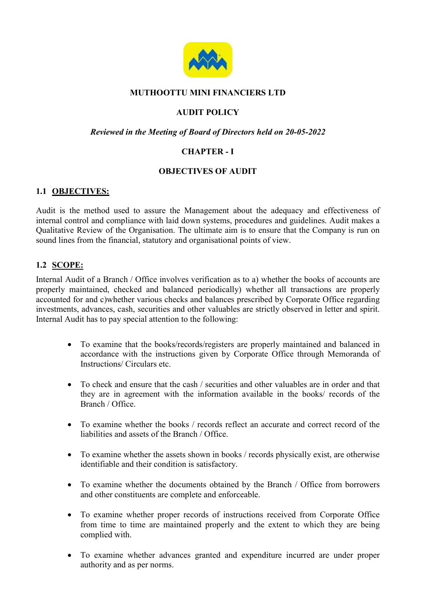

# MUTHOOTTU MINI FINANCIERS LTD

# AUDIT POLICY

#### Reviewed in the Meeting of Board of Directors held on 20-05-2022

# CHAPTER - I

## OBJECTIVES OF AUDIT

## 1.1 OBJECTIVES:

Audit is the method used to assure the Management about the adequacy and effectiveness of internal control and compliance with laid down systems, procedures and guidelines. Audit makes a Qualitative Review of the Organisation. The ultimate aim is to ensure that the Company is run on sound lines from the financial, statutory and organisational points of view.

## 1.2 SCOPE:

Internal Audit of a Branch / Office involves verification as to a) whether the books of accounts are properly maintained, checked and balanced periodically) whether all transactions are properly accounted for and c)whether various checks and balances prescribed by Corporate Office regarding investments, advances, cash, securities and other valuables are strictly observed in letter and spirit. Internal Audit has to pay special attention to the following:

- To examine that the books/records/registers are properly maintained and balanced in accordance with the instructions given by Corporate Office through Memoranda of Instructions/ Circulars etc.
- To check and ensure that the cash / securities and other valuables are in order and that they are in agreement with the information available in the books/ records of the Branch / Office.
- To examine whether the books / records reflect an accurate and correct record of the liabilities and assets of the Branch / Office.
- To examine whether the assets shown in books / records physically exist, are otherwise identifiable and their condition is satisfactory.
- To examine whether the documents obtained by the Branch / Office from borrowers and other constituents are complete and enforceable.
- To examine whether proper records of instructions received from Corporate Office from time to time are maintained properly and the extent to which they are being complied with.
- To examine whether advances granted and expenditure incurred are under proper authority and as per norms.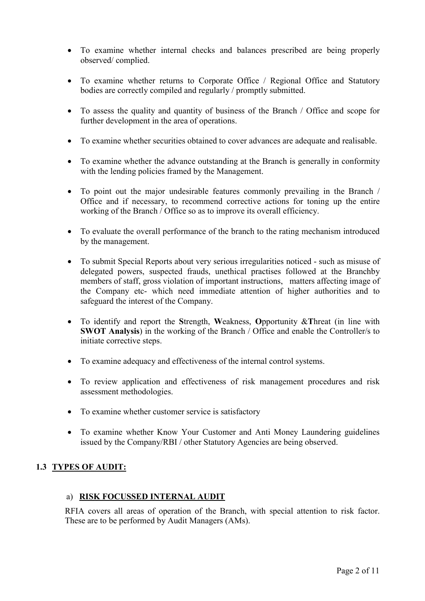- To examine whether internal checks and balances prescribed are being properly observed/ complied.
- To examine whether returns to Corporate Office / Regional Office and Statutory bodies are correctly compiled and regularly / promptly submitted.
- To assess the quality and quantity of business of the Branch / Office and scope for further development in the area of operations.
- To examine whether securities obtained to cover advances are adequate and realisable.
- To examine whether the advance outstanding at the Branch is generally in conformity with the lending policies framed by the Management.
- To point out the major undesirable features commonly prevailing in the Branch / Office and if necessary, to recommend corrective actions for toning up the entire working of the Branch / Office so as to improve its overall efficiency.
- To evaluate the overall performance of the branch to the rating mechanism introduced by the management.
- To submit Special Reports about very serious irregularities noticed such as misuse of delegated powers, suspected frauds, unethical practises followed at the Branchby members of staff, gross violation of important instructions, matters affecting image of the Company etc- which need immediate attention of higher authorities and to safeguard the interest of the Company.
- To identify and report the Strength, Weakness, Opportunity & Threat (in line with SWOT Analysis) in the working of the Branch / Office and enable the Controller/s to initiate corrective steps.
- To examine adequacy and effectiveness of the internal control systems.
- To review application and effectiveness of risk management procedures and risk assessment methodologies.
- To examine whether customer service is satisfactory
- To examine whether Know Your Customer and Anti Money Laundering guidelines issued by the Company/RBI / other Statutory Agencies are being observed.

## 1.3 TYPES OF AUDIT:

#### a) RISK FOCUSSED INTERNAL AUDIT

RFIA covers all areas of operation of the Branch, with special attention to risk factor. These are to be performed by Audit Managers (AMs).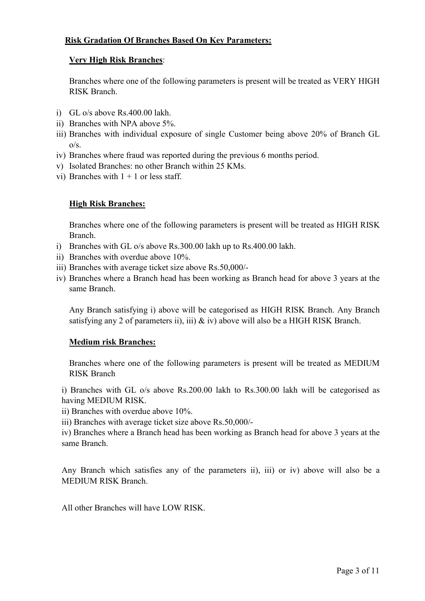## Risk Gradation Of Branches Based On Key Parameters:

#### Very High Risk Branches:

Branches where one of the following parameters is present will be treated as VERY HIGH RISK Branch.

- i) GL o/s above Rs.400.00 lakh.
- ii) Branches with NPA above 5%.
- iii) Branches with individual exposure of single Customer being above 20% of Branch GL  $o/s$ .
- iv) Branches where fraud was reported during the previous 6 months period.
- v) Isolated Branches: no other Branch within 25 KMs.
- vi) Branches with  $1 + 1$  or less staff.

# High Risk Branches:

Branches where one of the following parameters is present will be treated as HIGH RISK Branch.

- i) Branches with GL o/s above Rs.300.00 lakh up to Rs.400.00 lakh.
- ii) Branches with overdue above 10%.
- iii) Branches with average ticket size above Rs.50,000/-
- iv) Branches where a Branch head has been working as Branch head for above 3 years at the same Branch.

Any Branch satisfying i) above will be categorised as HIGH RISK Branch. Any Branch satisfying any 2 of parameters ii), iii) & iv) above will also be a HIGH RISK Branch.

## Medium risk Branches:

Branches where one of the following parameters is present will be treated as MEDIUM RISK Branch

i) Branches with GL o/s above Rs.200.00 lakh to Rs.300.00 lakh will be categorised as having MEDIUM RISK.

ii) Branches with overdue above 10%.

iii) Branches with average ticket size above Rs.50,000/-

iv) Branches where a Branch head has been working as Branch head for above 3 years at the same Branch.

Any Branch which satisfies any of the parameters ii), iii) or iv) above will also be a MEDIUM RISK Branch.

All other Branches will have LOW RISK.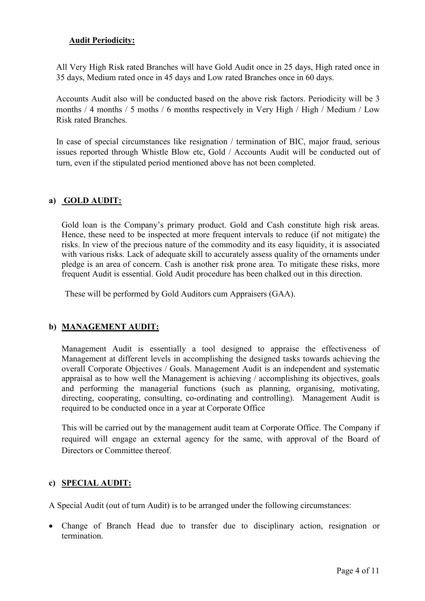## Audit Periodicity:

All Very High Risk rated Branches will have Gold Audit once in 25 days, High rated once in 35 days, Medium rated once in 45 days and Low rated Branches once in 60 days.

Accounts Audit also will be conducted based on the above risk factors. Periodicity will be 3 months / 4 months / 5 moths / 6 months respectively in Very High / High / Medium / Low Risk rated Branches.

In case of special circumstances like resignation / termination of BIC, major fraud, serious issues reported through Whistle Blow etc, Gold / Accounts Audit will be conducted out of turn, even if the stipulated period mentioned above has not been completed.

# a) GOLD AUDIT:

Gold loan is the Company's primary product. Gold and Cash constitute high risk areas. Hence, these need to be inspected at more frequent intervals to reduce (if not mitigate) the risks. In view of the precious nature of the commodity and its easy liquidity, it is associated with various risks. Lack of adequate skill to accurately assess quality of the ornaments under pledge is an area of concern. Cash is another risk prone area. To mitigate these risks, more frequent Audit is essential. Gold Audit procedure has been chalked out in this direction.

These will be performed by Gold Auditors cum Appraisers (GAA).

## b) MANAGEMENT AUDIT:

Management Audit is essentially a tool designed to appraise the effectiveness of Management at different levels in accomplishing the designed tasks towards achieving the overall Corporate Objectives / Goals. Management Audit is an independent and systematic appraisal as to how well the Management is achieving / accomplishing its objectives, goals and performing the managerial functions (such as planning, organising, motivating, directing, cooperating, consulting, co-ordinating and controlling). Management Audit is required to be conducted once in a year at Corporate Office

This will be carried out by the management audit team at Corporate Office. The Company if required will engage an external agency for the same, with approval of the Board of Directors or Committee thereof.

## c) SPECIAL AUDIT:

A Special Audit (out of turn Audit) is to be arranged under the following circumstances:

 Change of Branch Head due to transfer due to disciplinary action, resignation or termination.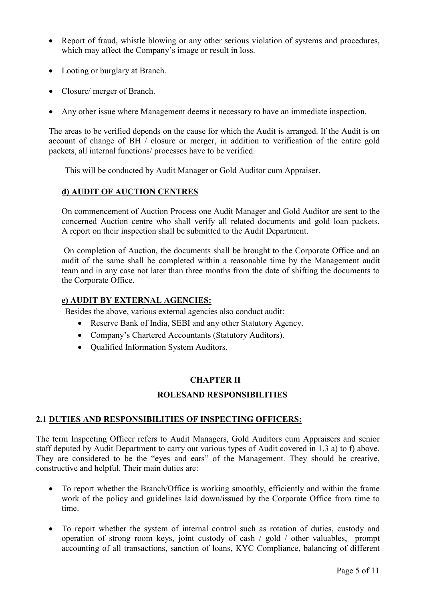- Report of fraud, whistle blowing or any other serious violation of systems and procedures, which may affect the Company's image or result in loss.
- Looting or burglary at Branch.
- Closure/ merger of Branch.
- Any other issue where Management deems it necessary to have an immediate inspection.

The areas to be verified depends on the cause for which the Audit is arranged. If the Audit is on account of change of BH / closure or merger, in addition to verification of the entire gold packets, all internal functions/ processes have to be verified.

This will be conducted by Audit Manager or Gold Auditor cum Appraiser.

## d) AUDIT OF AUCTION CENTRES

On commencement of Auction Process one Audit Manager and Gold Auditor are sent to the concerned Auction centre who shall verify all related documents and gold loan packets. A report on their inspection shall be submitted to the Audit Department.

On completion of Auction, the documents shall be brought to the Corporate Office and an audit of the same shall be completed within a reasonable time by the Management audit team and in any case not later than three months from the date of shifting the documents to the Corporate Office.

#### e) AUDIT BY EXTERNAL AGENCIES:

Besides the above, various external agencies also conduct audit:

- Reserve Bank of India, SEBI and any other Statutory Agency.
- Company's Chartered Accountants (Statutory Auditors).
- Qualified Information System Auditors.

## CHAPTER II

#### ROLESAND RESPONSIBILITIES

## 2.1 DUTIES AND RESPONSIBILITIES OF INSPECTING OFFICERS:

The term Inspecting Officer refers to Audit Managers, Gold Auditors cum Appraisers and senior staff deputed by Audit Department to carry out various types of Audit covered in 1.3 a) to f) above. They are considered to be the "eyes and ears" of the Management. They should be creative, constructive and helpful. Their main duties are:

- To report whether the Branch/Office is working smoothly, efficiently and within the frame work of the policy and guidelines laid down/issued by the Corporate Office from time to time.
- To report whether the system of internal control such as rotation of duties, custody and operation of strong room keys, joint custody of cash / gold / other valuables, prompt accounting of all transactions, sanction of loans, KYC Compliance, balancing of different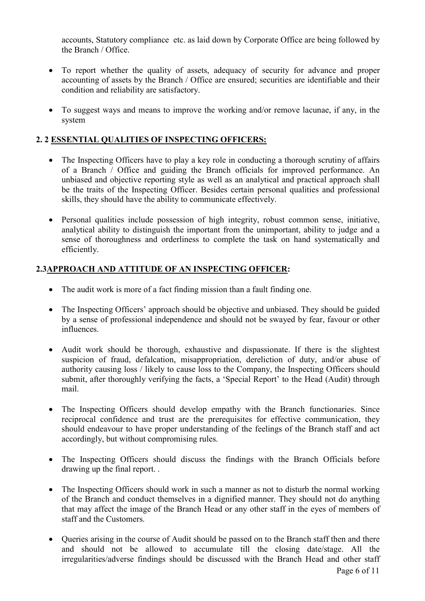accounts, Statutory compliance etc. as laid down by Corporate Office are being followed by the Branch / Office.

- To report whether the quality of assets, adequacy of security for advance and proper accounting of assets by the Branch / Office are ensured; securities are identifiable and their condition and reliability are satisfactory.
- To suggest ways and means to improve the working and/or remove lacunae, if any, in the system

# 2. 2 ESSENTIAL QUALITIES OF INSPECTING OFFICERS:

- The Inspecting Officers have to play a key role in conducting a thorough scrutiny of affairs of a Branch / Office and guiding the Branch officials for improved performance. An unbiased and objective reporting style as well as an analytical and practical approach shall be the traits of the Inspecting Officer. Besides certain personal qualities and professional skills, they should have the ability to communicate effectively.
- Personal qualities include possession of high integrity, robust common sense, initiative, analytical ability to distinguish the important from the unimportant, ability to judge and a sense of thoroughness and orderliness to complete the task on hand systematically and efficiently.

# 2.3APPROACH AND ATTITUDE OF AN INSPECTING OFFICER:

- The audit work is more of a fact finding mission than a fault finding one.
- The Inspecting Officers' approach should be objective and unbiased. They should be guided by a sense of professional independence and should not be swayed by fear, favour or other influences.
- Audit work should be thorough, exhaustive and dispassionate. If there is the slightest suspicion of fraud, defalcation, misappropriation, dereliction of duty, and/or abuse of authority causing loss / likely to cause loss to the Company, the Inspecting Officers should submit, after thoroughly verifying the facts, a 'Special Report' to the Head (Audit) through mail.
- The Inspecting Officers should develop empathy with the Branch functionaries. Since reciprocal confidence and trust are the prerequisites for effective communication, they should endeavour to have proper understanding of the feelings of the Branch staff and act accordingly, but without compromising rules.
- The Inspecting Officers should discuss the findings with the Branch Officials before drawing up the final report. .
- The Inspecting Officers should work in such a manner as not to disturb the normal working of the Branch and conduct themselves in a dignified manner. They should not do anything that may affect the image of the Branch Head or any other staff in the eyes of members of staff and the Customers.
- Queries arising in the course of Audit should be passed on to the Branch staff then and there and should not be allowed to accumulate till the closing date/stage. All the irregularities/adverse findings should be discussed with the Branch Head and other staff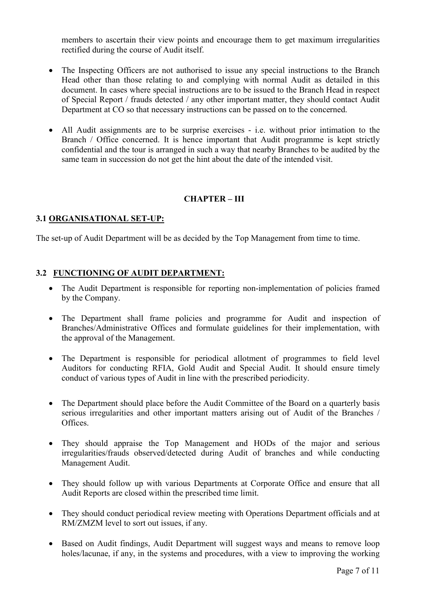members to ascertain their view points and encourage them to get maximum irregularities rectified during the course of Audit itself.

- The Inspecting Officers are not authorised to issue any special instructions to the Branch Head other than those relating to and complying with normal Audit as detailed in this document. In cases where special instructions are to be issued to the Branch Head in respect of Special Report / frauds detected / any other important matter, they should contact Audit Department at CO so that necessary instructions can be passed on to the concerned.
- All Audit assignments are to be surprise exercises i.e. without prior intimation to the Branch / Office concerned. It is hence important that Audit programme is kept strictly confidential and the tour is arranged in such a way that nearby Branches to be audited by the same team in succession do not get the hint about the date of the intended visit.

## CHAPTER – III

#### 3.1 ORGANISATIONAL SET-UP:

The set-up of Audit Department will be as decided by the Top Management from time to time.

#### 3.2 FUNCTIONING OF AUDIT DEPARTMENT:

- The Audit Department is responsible for reporting non-implementation of policies framed by the Company.
- The Department shall frame policies and programme for Audit and inspection of Branches/Administrative Offices and formulate guidelines for their implementation, with the approval of the Management.
- The Department is responsible for periodical allotment of programmes to field level Auditors for conducting RFIA, Gold Audit and Special Audit. It should ensure timely conduct of various types of Audit in line with the prescribed periodicity.
- The Department should place before the Audit Committee of the Board on a quarterly basis serious irregularities and other important matters arising out of Audit of the Branches / Offices.
- They should appraise the Top Management and HODs of the major and serious irregularities/frauds observed/detected during Audit of branches and while conducting Management Audit.
- They should follow up with various Departments at Corporate Office and ensure that all Audit Reports are closed within the prescribed time limit.
- They should conduct periodical review meeting with Operations Department officials and at RM/ZMZM level to sort out issues, if any.
- Based on Audit findings, Audit Department will suggest ways and means to remove loop holes/lacunae, if any, in the systems and procedures, with a view to improving the working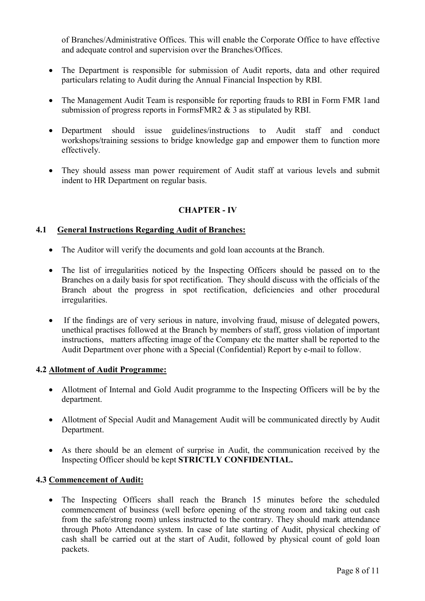of Branches/Administrative Offices. This will enable the Corporate Office to have effective and adequate control and supervision over the Branches/Offices.

- The Department is responsible for submission of Audit reports, data and other required particulars relating to Audit during the Annual Financial Inspection by RBI.
- The Management Audit Team is responsible for reporting frauds to RBI in Form FMR 1and submission of progress reports in FormsFMR2 & 3 as stipulated by RBI.
- Department should issue guidelines/instructions to Audit staff and conduct workshops/training sessions to bridge knowledge gap and empower them to function more effectively.
- They should assess man power requirement of Audit staff at various levels and submit indent to HR Department on regular basis.

# CHAPTER - IV

#### 4.1 General Instructions Regarding Audit of Branches:

- The Auditor will verify the documents and gold loan accounts at the Branch.
- The list of irregularities noticed by the Inspecting Officers should be passed on to the Branches on a daily basis for spot rectification. They should discuss with the officials of the Branch about the progress in spot rectification, deficiencies and other procedural irregularities.
- If the findings are of very serious in nature, involving fraud, misuse of delegated powers, unethical practises followed at the Branch by members of staff, gross violation of important instructions, matters affecting image of the Company etc the matter shall be reported to the Audit Department over phone with a Special (Confidential) Report by e-mail to follow.

#### 4.2 Allotment of Audit Programme:

- Allotment of Internal and Gold Audit programme to the Inspecting Officers will be by the department.
- Allotment of Special Audit and Management Audit will be communicated directly by Audit Department.
- As there should be an element of surprise in Audit, the communication received by the Inspecting Officer should be kept STRICTLY CONFIDENTIAL.

#### 4.3 Commencement of Audit:

• The Inspecting Officers shall reach the Branch 15 minutes before the scheduled commencement of business (well before opening of the strong room and taking out cash from the safe/strong room) unless instructed to the contrary. They should mark attendance through Photo Attendance system. In case of late starting of Audit, physical checking of cash shall be carried out at the start of Audit, followed by physical count of gold loan packets.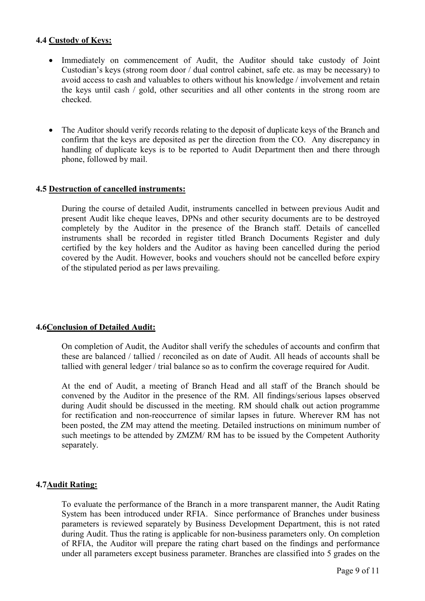## 4.4 Custody of Keys:

- Immediately on commencement of Audit, the Auditor should take custody of Joint Custodian's keys (strong room door / dual control cabinet, safe etc. as may be necessary) to avoid access to cash and valuables to others without his knowledge / involvement and retain the keys until cash / gold, other securities and all other contents in the strong room are checked.
- The Auditor should verify records relating to the deposit of duplicate keys of the Branch and confirm that the keys are deposited as per the direction from the CO. Any discrepancy in handling of duplicate keys is to be reported to Audit Department then and there through phone, followed by mail.

#### 4.5 Destruction of cancelled instruments:

During the course of detailed Audit, instruments cancelled in between previous Audit and present Audit like cheque leaves, DPNs and other security documents are to be destroyed completely by the Auditor in the presence of the Branch staff. Details of cancelled instruments shall be recorded in register titled Branch Documents Register and duly certified by the key holders and the Auditor as having been cancelled during the period covered by the Audit. However, books and vouchers should not be cancelled before expiry of the stipulated period as per laws prevailing.

#### 4.6Conclusion of Detailed Audit:

On completion of Audit, the Auditor shall verify the schedules of accounts and confirm that these are balanced / tallied / reconciled as on date of Audit. All heads of accounts shall be tallied with general ledger / trial balance so as to confirm the coverage required for Audit.

At the end of Audit, a meeting of Branch Head and all staff of the Branch should be convened by the Auditor in the presence of the RM. All findings/serious lapses observed during Audit should be discussed in the meeting. RM should chalk out action programme for rectification and non-reoccurrence of similar lapses in future. Wherever RM has not been posted, the ZM may attend the meeting. Detailed instructions on minimum number of such meetings to be attended by ZMZM/ RM has to be issued by the Competent Authority separately.

#### 4.7Audit Rating:

To evaluate the performance of the Branch in a more transparent manner, the Audit Rating System has been introduced under RFIA. Since performance of Branches under business parameters is reviewed separately by Business Development Department, this is not rated during Audit. Thus the rating is applicable for non-business parameters only. On completion of RFIA, the Auditor will prepare the rating chart based on the findings and performance under all parameters except business parameter. Branches are classified into 5 grades on the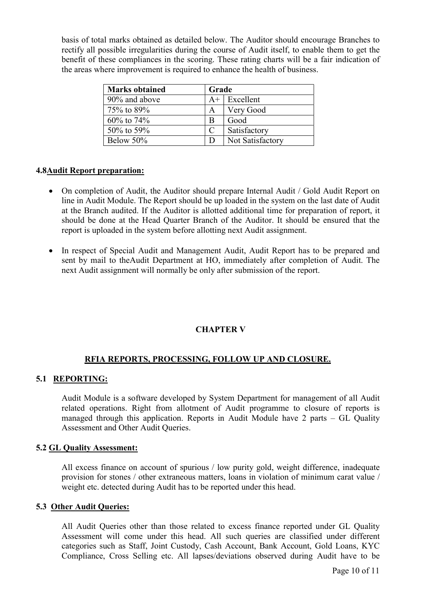basis of total marks obtained as detailed below. The Auditor should encourage Branches to rectify all possible irregularities during the course of Audit itself, to enable them to get the benefit of these compliances in the scoring. These rating charts will be a fair indication of the areas where improvement is required to enhance the health of business.

| <b>Marks obtained</b> | Grade |                  |
|-----------------------|-------|------------------|
| 90% and above         |       | $A+$ Excellent   |
| 75% to 89%            | A     | Very Good        |
| $60\%$ to 74%         | B     | Good             |
| 50\% to 59\%          | C     | Satisfactory     |
| Below 50%             |       | Not Satisfactory |

#### 4.8Audit Report preparation:

- On completion of Audit, the Auditor should prepare Internal Audit / Gold Audit Report on line in Audit Module. The Report should be up loaded in the system on the last date of Audit at the Branch audited. If the Auditor is allotted additional time for preparation of report, it should be done at the Head Quarter Branch of the Auditor. It should be ensured that the report is uploaded in the system before allotting next Audit assignment.
- In respect of Special Audit and Management Audit, Audit Report has to be prepared and sent by mail to theAudit Department at HO, immediately after completion of Audit. The next Audit assignment will normally be only after submission of the report.

## CHAPTER V

## RFIA REPORTS, PROCESSING, FOLLOW UP AND CLOSURE.

#### 5.1 REPORTING:

Audit Module is a software developed by System Department for management of all Audit related operations. Right from allotment of Audit programme to closure of reports is managed through this application. Reports in Audit Module have 2 parts – GL Quality Assessment and Other Audit Queries.

#### 5.2 GL Quality Assessment:

All excess finance on account of spurious / low purity gold, weight difference, inadequate provision for stones / other extraneous matters, loans in violation of minimum carat value / weight etc. detected during Audit has to be reported under this head.

#### 5.3 Other Audit Queries:

All Audit Queries other than those related to excess finance reported under GL Quality Assessment will come under this head. All such queries are classified under different categories such as Staff, Joint Custody, Cash Account, Bank Account, Gold Loans, KYC Compliance, Cross Selling etc. All lapses/deviations observed during Audit have to be